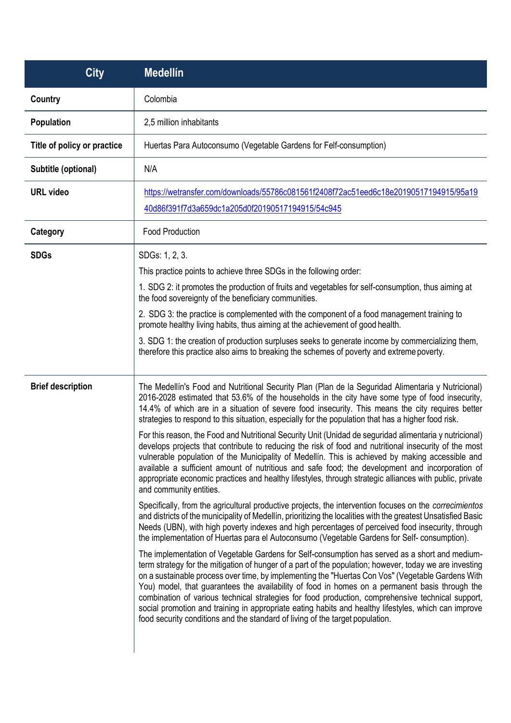| <b>City</b>                 | <b>Medellín</b>                                                                                                                                                                                                                                                                                                                                                                                                                                                                                                                                                                                                                                                                                                |
|-----------------------------|----------------------------------------------------------------------------------------------------------------------------------------------------------------------------------------------------------------------------------------------------------------------------------------------------------------------------------------------------------------------------------------------------------------------------------------------------------------------------------------------------------------------------------------------------------------------------------------------------------------------------------------------------------------------------------------------------------------|
| Country                     | Colombia                                                                                                                                                                                                                                                                                                                                                                                                                                                                                                                                                                                                                                                                                                       |
| Population                  | 2,5 million inhabitants                                                                                                                                                                                                                                                                                                                                                                                                                                                                                                                                                                                                                                                                                        |
| Title of policy or practice | Huertas Para Autoconsumo (Vegetable Gardens for Felf-consumption)                                                                                                                                                                                                                                                                                                                                                                                                                                                                                                                                                                                                                                              |
| Subtitle (optional)         | N/A                                                                                                                                                                                                                                                                                                                                                                                                                                                                                                                                                                                                                                                                                                            |
| <b>URL</b> video            | https://wetransfer.com/downloads/55786c081561f2408f72ac51eed6c18e20190517194915/95a19<br>40d86f391f7d3a659dc1a205d0f20190517194915/54c945                                                                                                                                                                                                                                                                                                                                                                                                                                                                                                                                                                      |
| Category                    | <b>Food Production</b>                                                                                                                                                                                                                                                                                                                                                                                                                                                                                                                                                                                                                                                                                         |
| <b>SDGs</b>                 | SDGs: 1, 2, 3.                                                                                                                                                                                                                                                                                                                                                                                                                                                                                                                                                                                                                                                                                                 |
|                             | This practice points to achieve three SDGs in the following order:                                                                                                                                                                                                                                                                                                                                                                                                                                                                                                                                                                                                                                             |
|                             | 1. SDG 2: it promotes the production of fruits and vegetables for self-consumption, thus aiming at<br>the food sovereignty of the beneficiary communities.                                                                                                                                                                                                                                                                                                                                                                                                                                                                                                                                                     |
|                             | 2. SDG 3: the practice is complemented with the component of a food management training to<br>promote healthy living habits, thus aiming at the achievement of good health.                                                                                                                                                                                                                                                                                                                                                                                                                                                                                                                                    |
|                             | 3. SDG 1: the creation of production surpluses seeks to generate income by commercializing them,<br>therefore this practice also aims to breaking the schemes of poverty and extreme poverty.                                                                                                                                                                                                                                                                                                                                                                                                                                                                                                                  |
| <b>Brief description</b>    | The Medellín's Food and Nutritional Security Plan (Plan de la Seguridad Alimentaria y Nutricional)<br>2016-2028 estimated that 53.6% of the households in the city have some type of food insecurity,<br>14.4% of which are in a situation of severe food insecurity. This means the city requires better<br>strategies to respond to this situation, especially for the population that has a higher food risk.                                                                                                                                                                                                                                                                                               |
|                             | For this reason, the Food and Nutritional Security Unit (Unidad de seguridad alimentaria y nutricional)<br>develops projects that contribute to reducing the risk of food and nutritional insecurity of the most<br>vulnerable population of the Municipality of Medellín. This is achieved by making accessible and<br>available a sufficient amount of nutritious and safe food; the development and incorporation of<br>appropriate economic practices and healthy lifestyles, through strategic alliances with public, private<br>and community entities.                                                                                                                                                  |
|                             | Specifically, from the agricultural productive projects, the intervention focuses on the <i>correcimientos</i><br>and districts of the municipality of Medellín, prioritizing the localities with the greatest Unsatisfied Basic<br>Needs (UBN), with high poverty indexes and high percentages of perceived food insecurity, through<br>the implementation of Huertas para el Autoconsumo (Vegetable Gardens for Self- consumption).                                                                                                                                                                                                                                                                          |
|                             | The implementation of Vegetable Gardens for Self-consumption has served as a short and medium-<br>term strategy for the mitigation of hunger of a part of the population; however, today we are investing<br>on a sustainable process over time, by implementing the "Huertas Con Vos" (Vegetable Gardens With<br>You) model, that guarantees the availability of food in homes on a permanent basis through the<br>combination of various technical strategies for food production, comprehensive technical support,<br>social promotion and training in appropriate eating habits and healthy lifestyles, which can improve<br>food security conditions and the standard of living of the target population. |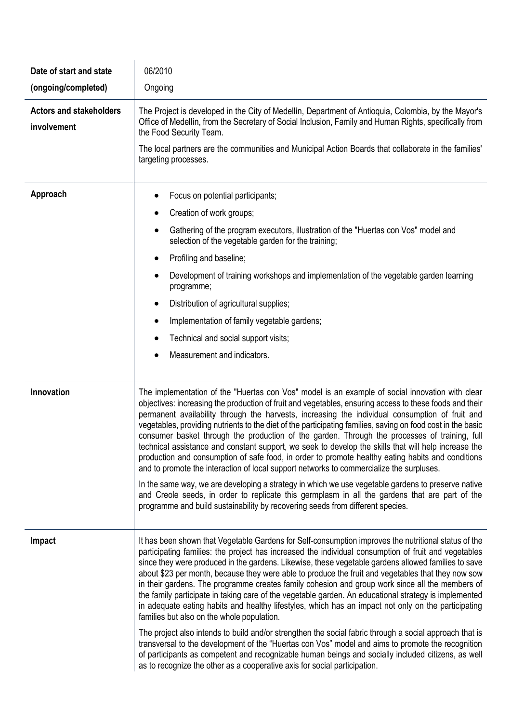| Date of start and state                       | 06/2010                                                                                                                                                                                                                                                                                                                                                                                                                                                                                                                                                                                                                                                                                                                                                                                                                                                                                                                                                                                                    |
|-----------------------------------------------|------------------------------------------------------------------------------------------------------------------------------------------------------------------------------------------------------------------------------------------------------------------------------------------------------------------------------------------------------------------------------------------------------------------------------------------------------------------------------------------------------------------------------------------------------------------------------------------------------------------------------------------------------------------------------------------------------------------------------------------------------------------------------------------------------------------------------------------------------------------------------------------------------------------------------------------------------------------------------------------------------------|
| (ongoing/completed)                           | Ongoing                                                                                                                                                                                                                                                                                                                                                                                                                                                                                                                                                                                                                                                                                                                                                                                                                                                                                                                                                                                                    |
| <b>Actors and stakeholders</b><br>involvement | The Project is developed in the City of Medellín, Department of Antioquia, Colombia, by the Mayor's<br>Office of Medellín, from the Secretary of Social Inclusion, Family and Human Rights, specifically from<br>the Food Security Team.                                                                                                                                                                                                                                                                                                                                                                                                                                                                                                                                                                                                                                                                                                                                                                   |
|                                               | The local partners are the communities and Municipal Action Boards that collaborate in the families'<br>targeting processes.                                                                                                                                                                                                                                                                                                                                                                                                                                                                                                                                                                                                                                                                                                                                                                                                                                                                               |
| Approach                                      | Focus on potential participants;                                                                                                                                                                                                                                                                                                                                                                                                                                                                                                                                                                                                                                                                                                                                                                                                                                                                                                                                                                           |
|                                               | Creation of work groups;                                                                                                                                                                                                                                                                                                                                                                                                                                                                                                                                                                                                                                                                                                                                                                                                                                                                                                                                                                                   |
|                                               | Gathering of the program executors, illustration of the "Huertas con Vos" model and<br>٠<br>selection of the vegetable garden for the training;                                                                                                                                                                                                                                                                                                                                                                                                                                                                                                                                                                                                                                                                                                                                                                                                                                                            |
|                                               | Profiling and baseline;<br>٠                                                                                                                                                                                                                                                                                                                                                                                                                                                                                                                                                                                                                                                                                                                                                                                                                                                                                                                                                                               |
|                                               | Development of training workshops and implementation of the vegetable garden learning<br>programme;                                                                                                                                                                                                                                                                                                                                                                                                                                                                                                                                                                                                                                                                                                                                                                                                                                                                                                        |
|                                               | Distribution of agricultural supplies;<br>٠                                                                                                                                                                                                                                                                                                                                                                                                                                                                                                                                                                                                                                                                                                                                                                                                                                                                                                                                                                |
|                                               | Implementation of family vegetable gardens;                                                                                                                                                                                                                                                                                                                                                                                                                                                                                                                                                                                                                                                                                                                                                                                                                                                                                                                                                                |
|                                               | Technical and social support visits;                                                                                                                                                                                                                                                                                                                                                                                                                                                                                                                                                                                                                                                                                                                                                                                                                                                                                                                                                                       |
|                                               | Measurement and indicators.                                                                                                                                                                                                                                                                                                                                                                                                                                                                                                                                                                                                                                                                                                                                                                                                                                                                                                                                                                                |
|                                               |                                                                                                                                                                                                                                                                                                                                                                                                                                                                                                                                                                                                                                                                                                                                                                                                                                                                                                                                                                                                            |
| Innovation                                    | The implementation of the "Huertas con Vos" model is an example of social innovation with clear<br>objectives: increasing the production of fruit and vegetables, ensuring access to these foods and their<br>permanent availability through the harvests, increasing the individual consumption of fruit and<br>vegetables, providing nutrients to the diet of the participating families, saving on food cost in the basic<br>consumer basket through the production of the garden. Through the processes of training, full<br>technical assistance and constant support, we seek to develop the skills that will help increase the<br>production and consumption of safe food, in order to promote healthy eating habits and conditions<br>and to promote the interaction of local support networks to commercialize the surpluses.                                                                                                                                                                     |
|                                               | In the same way, we are developing a strategy in which we use vegetable gardens to preserve native<br>and Creole seeds, in order to replicate this germplasm in all the gardens that are part of the<br>programme and build sustainability by recovering seeds from different species.                                                                                                                                                                                                                                                                                                                                                                                                                                                                                                                                                                                                                                                                                                                     |
| Impact                                        | It has been shown that Vegetable Gardens for Self-consumption improves the nutritional status of the<br>participating families: the project has increased the individual consumption of fruit and vegetables<br>since they were produced in the gardens. Likewise, these vegetable gardens allowed families to save<br>about \$23 per month, because they were able to produce the fruit and vegetables that they now sow<br>in their gardens. The programme creates family cohesion and group work since all the members of<br>the family participate in taking care of the vegetable garden. An educational strategy is implemented<br>in adequate eating habits and healthy lifestyles, which has an impact not only on the participating<br>families but also on the whole population.<br>The project also intends to build and/or strengthen the social fabric through a social approach that is<br>transversal to the development of the "Huertas con Vos" model and aims to promote the recognition |
|                                               | of participants as competent and recognizable human beings and socially included citizens, as well<br>as to recognize the other as a cooperative axis for social participation.                                                                                                                                                                                                                                                                                                                                                                                                                                                                                                                                                                                                                                                                                                                                                                                                                            |